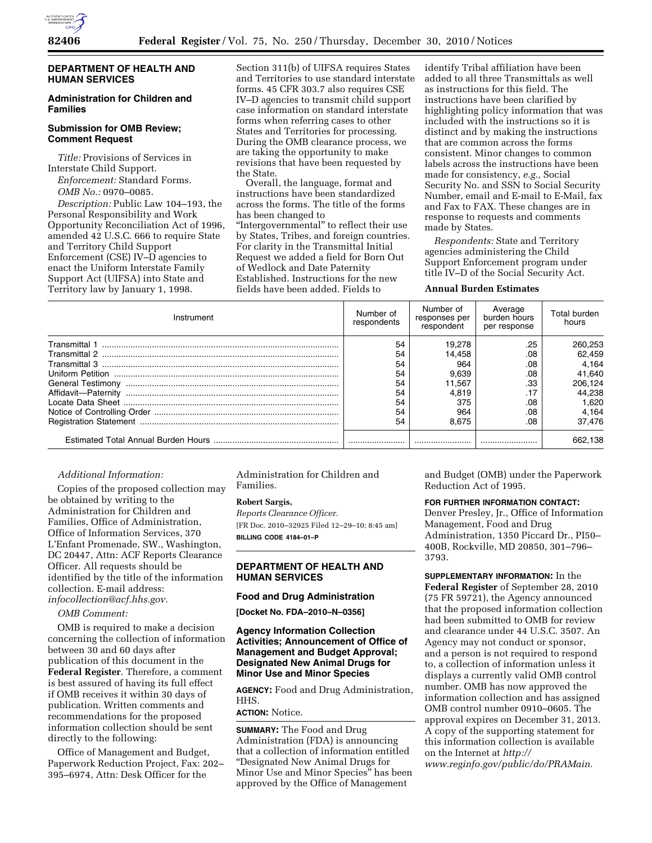

# **DEPARTMENT OF HEALTH AND HUMAN SERVICES**

# **Administration for Children and Families**

# **Submission for OMB Review; Comment Request**

*Title:* Provisions of Services in Interstate Child Support.

*Enforcement:* Standard Forms. *OMB No.:* 0970–0085.

*Description:* Public Law 104–193, the Personal Responsibility and Work Opportunity Reconciliation Act of 1996, amended 42 U.S.C. 666 to require State and Territory Child Support Enforcement (CSE) IV–D agencies to enact the Uniform Interstate Family Support Act (UIFSA) into State and Territory law by January 1, 1998.

Section 311(b) of UIFSA requires States and Territories to use standard interstate forms. 45 CFR 303.7 also requires CSE IV–D agencies to transmit child support case information on standard interstate forms when referring cases to other States and Territories for processing. During the OMB clearance process, we are taking the opportunity to make revisions that have been requested by the State.

Overall, the language, format and instructions have been standardized across the forms. The title of the forms has been changed to

"Intergovernmental" to reflect their use by States, Tribes, and foreign countries. For clarity in the Transmittal Initial Request we added a field for Born Out of Wedlock and Date Paternity Established. Instructions for the new fields have been added. Fields to

identify Tribal affiliation have been added to all three Transmittals as well as instructions for this field. The instructions have been clarified by highlighting policy information that was included with the instructions so it is distinct and by making the instructions that are common across the forms consistent. Minor changes to common labels across the instructions have been made for consistency, *e.g.,* Social Security No. and SSN to Social Security Number, email and E-mail to E-Mail, fax and Fax to FAX. These changes are in response to requests and comments made by States.

*Respondents:* State and Territory agencies administering the Child Support Enforcement program under title IV–D of the Social Security Act.

#### **Annual Burden Estimates**

| Instrument          | Number of<br>respondents | Number of<br>responses per<br>respondent | Average<br>burden hours<br>per response | Total burden<br>hours |
|---------------------|--------------------------|------------------------------------------|-----------------------------------------|-----------------------|
|                     | 54                       | 19.278                                   | .25                                     | 260,253               |
|                     | 54                       | 14.458                                   | .08                                     | 62.459                |
|                     | 54                       | 964                                      | .08                                     | 4.164                 |
|                     | 54                       | 9.639                                    | .08                                     | 41.640                |
|                     | 54                       | 11.567                                   | .33                                     | 206,124               |
| Affidavit-Paternity | 54                       | 4.819                                    |                                         | 44.238                |
|                     | 54                       | 375                                      | .08                                     | 1.620                 |
|                     | 54                       | 964                                      | .08                                     | 4.164                 |
|                     | 54                       | 8.675                                    | .08                                     | 37.476                |
|                     |                          |                                          |                                         | 662.138               |

## *Additional Information:*

Copies of the proposed collection may be obtained by writing to the Administration for Children and Families, Office of Administration, Office of Information Services, 370 L'Enfant Promenade, SW., Washington, DC 20447, Attn: ACF Reports Clearance Officer. All requests should be identified by the title of the information collection. E-mail address: *[infocollection@acf.hhs.gov.](mailto:infocollection@acf.hhs.gov)* 

#### *OMB Comment:*

OMB is required to make a decision concerning the collection of information between 30 and 60 days after publication of this document in the **Federal Register**. Therefore, a comment is best assured of having its full effect if OMB receives it within 30 days of publication. Written comments and recommendations for the proposed information collection should be sent directly to the following:

Office of Management and Budget, Paperwork Reduction Project, Fax: 202– 395–6974, Attn: Desk Officer for the

Administration for Children and Families.

#### **Robert Sargis,**

*Reports Clearance Officer.*  [FR Doc. 2010–32925 Filed 12–29–10; 8:45 am] **BILLING CODE 4184–01–P** 

# **DEPARTMENT OF HEALTH AND HUMAN SERVICES**

# **Food and Drug Administration**

**[Docket No. FDA–2010–N–0356]** 

# **Agency Information Collection Activities; Announcement of Office of Management and Budget Approval; Designated New Animal Drugs for Minor Use and Minor Species**

**AGENCY:** Food and Drug Administration, HHS.

## **ACTION:** Notice.

**SUMMARY:** The Food and Drug Administration (FDA) is announcing that a collection of information entitled ''Designated New Animal Drugs for Minor Use and Minor Species'' has been approved by the Office of Management

and Budget (OMB) under the Paperwork Reduction Act of 1995.

## **FOR FURTHER INFORMATION CONTACT:**

Denver Presley, Jr., Office of Information Management, Food and Drug Administration, 1350 Piccard Dr., PI50– 400B, Rockville, MD 20850, 301–796– 3793.

**SUPPLEMENTARY INFORMATION:** In the **Federal Register** of September 28, 2010 (75 FR 59721), the Agency announced that the proposed information collection had been submitted to OMB for review and clearance under 44 U.S.C. 3507. An Agency may not conduct or sponsor, and a person is not required to respond to, a collection of information unless it displays a currently valid OMB control number. OMB has now approved the information collection and has assigned OMB control number 0910–0605. The approval expires on December 31, 2013. A copy of the supporting statement for this information collection is available on the Internet at *[http://](http://www.reginfo.gov/public/do/PRAMain)  [www.reginfo.gov/public/do/PRAMain.](http://www.reginfo.gov/public/do/PRAMain)*